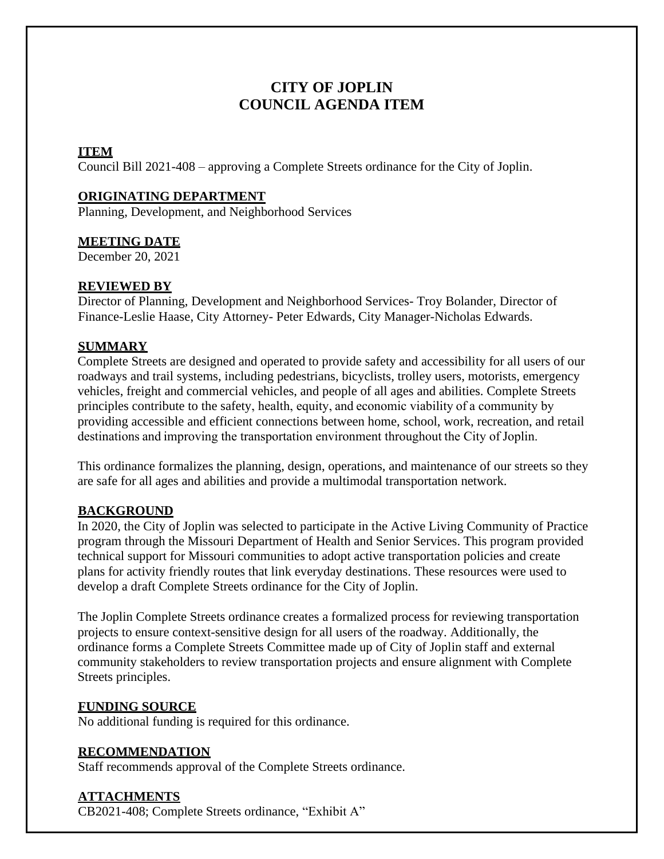# **CITY OF JOPLIN COUNCIL AGENDA ITEM**

#### **ITEM**

Council Bill 2021-408 – approving a Complete Streets ordinance for the City of Joplin.

#### **ORIGINATING DEPARTMENT**

Planning, Development, and Neighborhood Services

#### **MEETING DATE**

December 20, 2021

### **REVIEWED BY**

Director of Planning, Development and Neighborhood Services- Troy Bolander, Director of Finance-Leslie Haase, City Attorney- Peter Edwards, City Manager-Nicholas Edwards.

#### **SUMMARY**

Complete Streets are designed and operated to provide safety and accessibility for all users of our roadways and trail systems, including pedestrians, bicyclists, trolley users, motorists, emergency vehicles, freight and commercial vehicles, and people of all ages and abilities. Complete Streets principles contribute to the safety, health, equity, and economic viability of a community by providing accessible and efficient connections between home, school, work, recreation, and retail destinations and improving the transportation environment throughout the City of Joplin.

This ordinance formalizes the planning, design, operations, and maintenance of our streets so they are safe for all ages and abilities and provide a multimodal transportation network.

#### **BACKGROUND**

In 2020, the City of Joplin was selected to participate in the Active Living Community of Practice program through the Missouri Department of Health and Senior Services. This program provided technical support for Missouri communities to adopt active transportation policies and create plans for activity friendly routes that link everyday destinations. These resources were used to develop a draft Complete Streets ordinance for the City of Joplin.

The Joplin Complete Streets ordinance creates a formalized process for reviewing transportation projects to ensure context-sensitive design for all users of the roadway. Additionally, the ordinance forms a Complete Streets Committee made up of City of Joplin staff and external community stakeholders to review transportation projects and ensure alignment with Complete Streets principles.

### **FUNDING SOURCE**

No additional funding is required for this ordinance.

#### **RECOMMENDATION**

Staff recommends approval of the Complete Streets ordinance.

### **ATTACHMENTS**

CB2021-408; Complete Streets ordinance, "Exhibit A"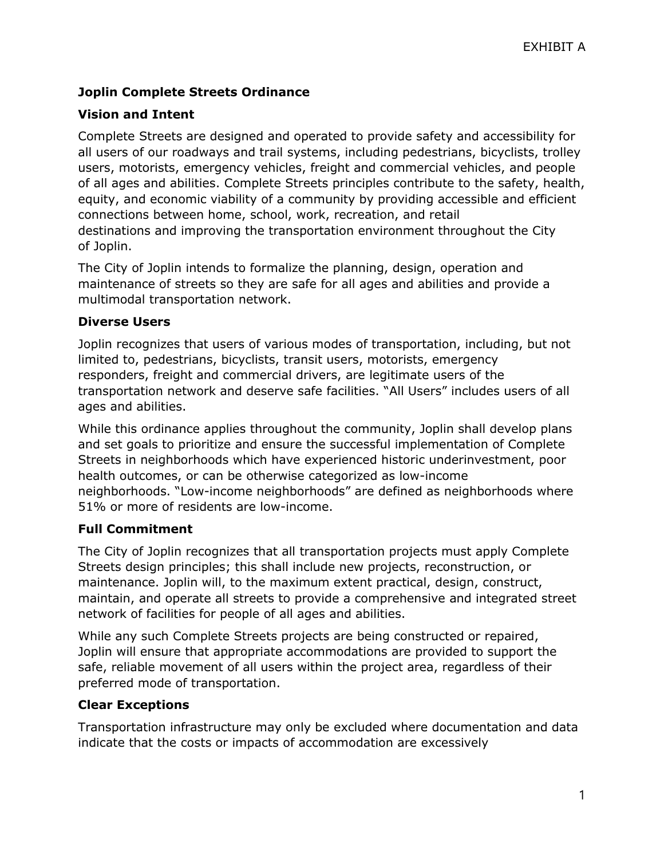# **Joplin Complete Streets Ordinance**

# **Vision and Intent**

Complete Streets are designed and operated to provide safety and accessibility for all users of our roadways and trail systems, including pedestrians, bicyclists, trolley users, motorists, emergency vehicles, freight and commercial vehicles, and people of all ages and abilities. Complete Streets principles contribute to the safety, health, equity, and economic viability of a community by providing accessible and efficient connections between home, school, work, recreation, and retail destinations and improving the transportation environment throughout the City of Joplin.

The City of Joplin intends to formalize the planning, design, operation and maintenance of streets so they are safe for all ages and abilities and provide a multimodal transportation network.

### **Diverse Users**

Joplin recognizes that users of various modes of transportation, including, but not limited to, pedestrians, bicyclists, transit users, motorists, emergency responders, freight and commercial drivers, are legitimate users of the transportation network and deserve safe facilities. "All Users" includes users of all ages and abilities.

While this ordinance applies throughout the community, Joplin shall develop plans and set goals to prioritize and ensure the successful implementation of Complete Streets in neighborhoods which have experienced historic underinvestment, poor health outcomes, or can be otherwise categorized as low-income neighborhoods. "Low-income neighborhoods" are defined as neighborhoods where 51% or more of residents are low-income.

### **Full Commitment**

The City of Joplin recognizes that all transportation projects must apply Complete Streets design principles; this shall include new projects, reconstruction, or maintenance. Joplin will, to the maximum extent practical, design, construct, maintain, and operate all streets to provide a comprehensive and integrated street network of facilities for people of all ages and abilities.

While any such Complete Streets projects are being constructed or repaired, Joplin will ensure that appropriate accommodations are provided to support the safe, reliable movement of all users within the project area, regardless of their preferred mode of transportation.

# **Clear Exceptions**

Transportation infrastructure may only be excluded where documentation and data indicate that the costs or impacts of accommodation are excessively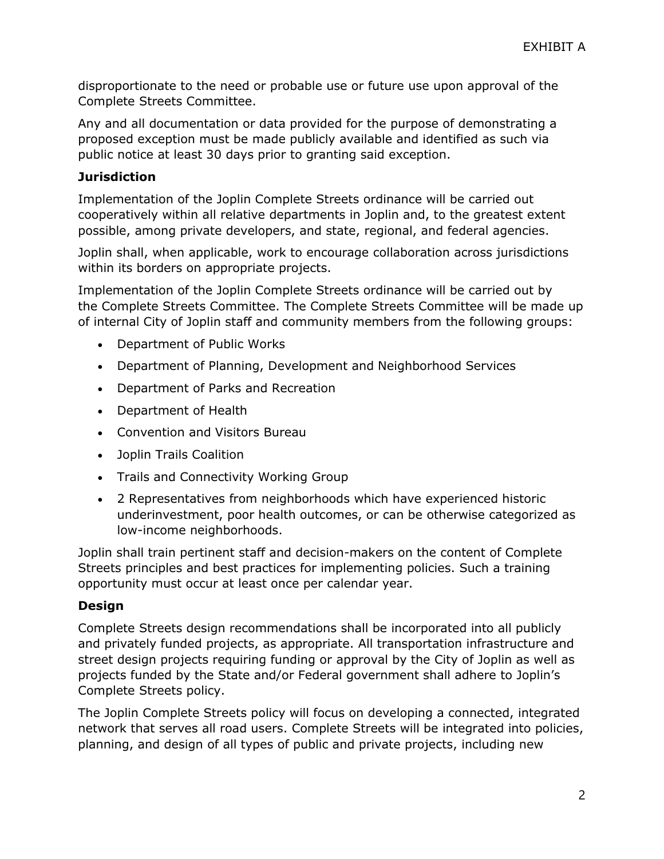disproportionate to the need or probable use or future use upon approval of the Complete Streets Committee.

Any and all documentation or data provided for the purpose of demonstrating a proposed exception must be made publicly available and identified as such via public notice at least 30 days prior to granting said exception.

### **Jurisdiction**

Implementation of the Joplin Complete Streets ordinance will be carried out cooperatively within all relative departments in Joplin and, to the greatest extent possible, among private developers, and state, regional, and federal agencies.

Joplin shall, when applicable, work to encourage collaboration across jurisdictions within its borders on appropriate projects.

Implementation of the Joplin Complete Streets ordinance will be carried out by the Complete Streets Committee. The Complete Streets Committee will be made up of internal City of Joplin staff and community members from the following groups:

- Department of Public Works
- Department of Planning, Development and Neighborhood Services
- Department of Parks and Recreation
- Department of Health
- Convention and Visitors Bureau
- Joplin Trails Coalition
- Trails and Connectivity Working Group
- 2 Representatives from neighborhoods which have experienced historic underinvestment, poor health outcomes, or can be otherwise categorized as low-income neighborhoods.

Joplin shall train pertinent staff and decision-makers on the content of Complete Streets principles and best practices for implementing policies. Such a training opportunity must occur at least once per calendar year.

### **Design**

Complete Streets design recommendations shall be incorporated into all publicly and privately funded projects, as appropriate. All transportation infrastructure and street design projects requiring funding or approval by the City of Joplin as well as projects funded by the State and/or Federal government shall adhere to Joplin's Complete Streets policy.

The Joplin Complete Streets policy will focus on developing a connected, integrated network that serves all road users. Complete Streets will be integrated into policies, planning, and design of all types of public and private projects, including new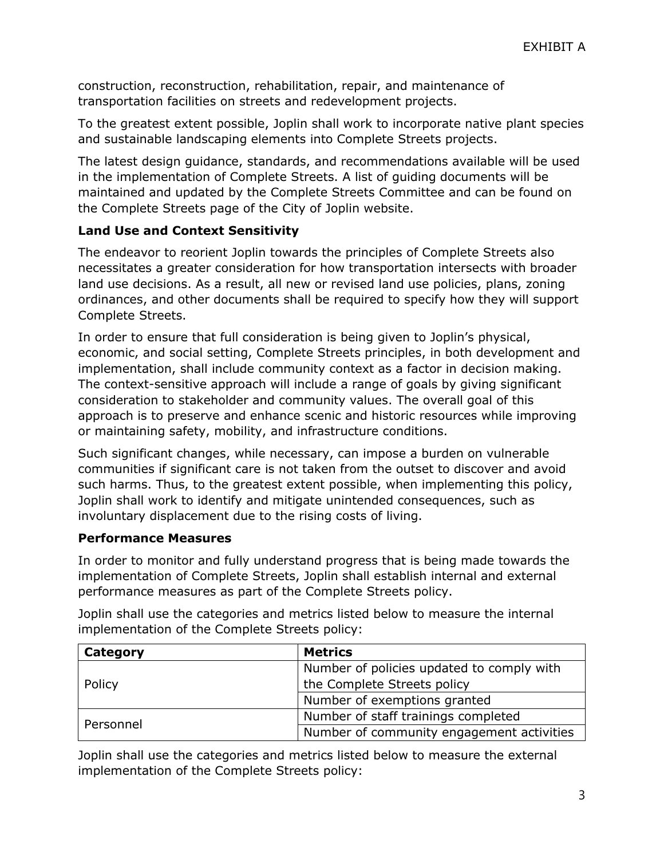construction, reconstruction, rehabilitation, repair, and maintenance of transportation facilities on streets and redevelopment projects.

To the greatest extent possible, Joplin shall work to incorporate native plant species and sustainable landscaping elements into Complete Streets projects.

The latest design guidance, standards, and recommendations available will be used in the implementation of Complete Streets. A list of guiding documents will be maintained and updated by the Complete Streets Committee and can be found on the Complete Streets page of the City of Joplin website.

# **Land Use and Context Sensitivity**

The endeavor to reorient Joplin towards the principles of Complete Streets also necessitates a greater consideration for how transportation intersects with broader land use decisions. As a result, all new or revised land use policies, plans, zoning ordinances, and other documents shall be required to specify how they will support Complete Streets.

In order to ensure that full consideration is being given to Joplin's physical, economic, and social setting, Complete Streets principles, in both development and implementation, shall include community context as a factor in decision making. The context-sensitive approach will include a range of goals by giving significant consideration to stakeholder and community values. The overall goal of this approach is to preserve and enhance scenic and historic resources while improving or maintaining safety, mobility, and infrastructure conditions.

Such significant changes, while necessary, can impose a burden on vulnerable communities if significant care is not taken from the outset to discover and avoid such harms. Thus, to the greatest extent possible, when implementing this policy, Joplin shall work to identify and mitigate unintended consequences, such as involuntary displacement due to the rising costs of living.

### **Performance Measures**

In order to monitor and fully understand progress that is being made towards the implementation of Complete Streets, Joplin shall establish internal and external performance measures as part of the Complete Streets policy.

Joplin shall use the categories and metrics listed below to measure the internal implementation of the Complete Streets policy:

| Category  | <b>Metrics</b>                            |
|-----------|-------------------------------------------|
| Policy    | Number of policies updated to comply with |
|           | the Complete Streets policy               |
|           | Number of exemptions granted              |
| Personnel | Number of staff trainings completed       |
|           | Number of community engagement activities |

Joplin shall use the categories and metrics listed below to measure the external implementation of the Complete Streets policy: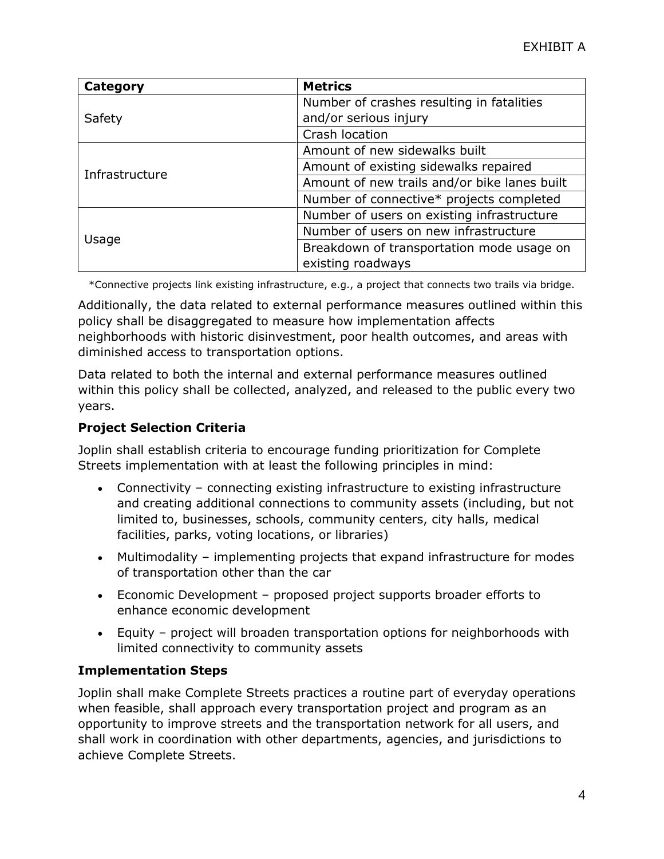| Category       | <b>Metrics</b>                               |
|----------------|----------------------------------------------|
| Safety         | Number of crashes resulting in fatalities    |
|                | and/or serious injury                        |
|                | Crash location                               |
| Infrastructure | Amount of new sidewalks built                |
|                | Amount of existing sidewalks repaired        |
|                | Amount of new trails and/or bike lanes built |
|                | Number of connective* projects completed     |
| Usage          | Number of users on existing infrastructure   |
|                | Number of users on new infrastructure        |
|                | Breakdown of transportation mode usage on    |
|                | existing roadways                            |

\*Connective projects link existing infrastructure, e.g., a project that connects two trails via bridge.

Additionally, the data related to external performance measures outlined within this policy shall be disaggregated to measure how implementation affects neighborhoods with historic disinvestment, poor health outcomes, and areas with diminished access to transportation options.

Data related to both the internal and external performance measures outlined within this policy shall be collected, analyzed, and released to the public every two years.

# **Project Selection Criteria**

Joplin shall establish criteria to encourage funding prioritization for Complete Streets implementation with at least the following principles in mind:

- Connectivity connecting existing infrastructure to existing infrastructure and creating additional connections to community assets (including, but not limited to, businesses, schools, community centers, city halls, medical facilities, parks, voting locations, or libraries)
- Multimodality implementing projects that expand infrastructure for modes of transportation other than the car
- Economic Development proposed project supports broader efforts to enhance economic development
- Equity project will broaden transportation options for neighborhoods with limited connectivity to community assets

# **Implementation Steps**

Joplin shall make Complete Streets practices a routine part of everyday operations when feasible, shall approach every transportation project and program as an opportunity to improve streets and the transportation network for all users, and shall work in coordination with other departments, agencies, and jurisdictions to achieve Complete Streets.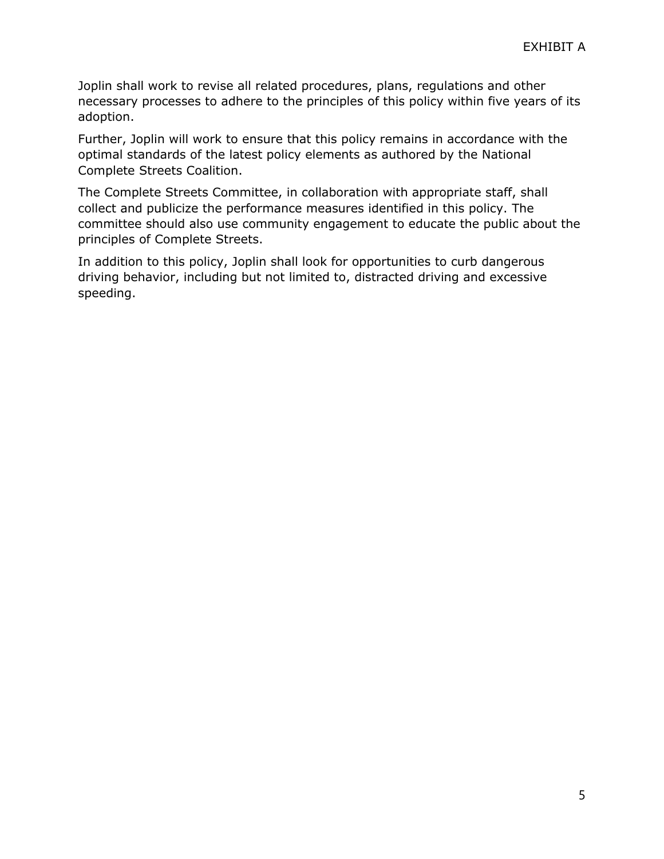Joplin shall work to revise all related procedures, plans, regulations and other necessary processes to adhere to the principles of this policy within five years of its adoption.

Further, Joplin will work to ensure that this policy remains in accordance with the optimal standards of the latest policy elements as authored by the National Complete Streets Coalition.

The Complete Streets Committee, in collaboration with appropriate staff, shall collect and publicize the performance measures identified in this policy. The committee should also use community engagement to educate the public about the principles of Complete Streets.

In addition to this policy, Joplin shall look for opportunities to curb dangerous driving behavior, including but not limited to, distracted driving and excessive speeding.